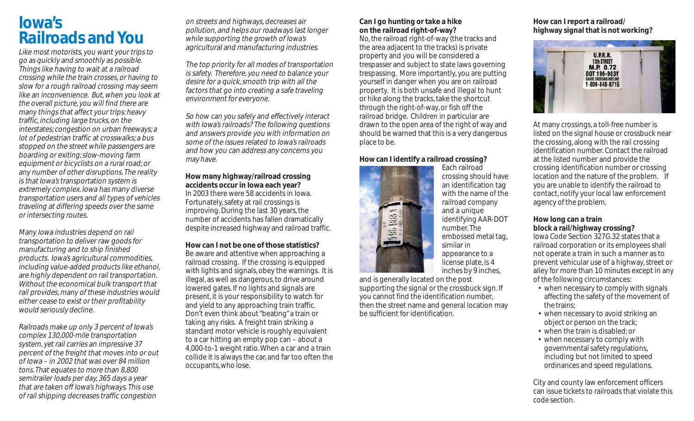# **Iowa's Railroads and You**

Like most motorists, you want your trips to go as quickly and smoothly as possible. Things like having to wait at a railroad crossing while the train crosses, or having to slow for a rough railroad crossing may seem like an inconvenience. But, when you look at the overall picture, you will find there are many things that affect your trips: heavy traffic, including large trucks, on the interstates; congestion on urban freeways; a lot of pedestrian traffic at crosswalks; a bus stopped on the street while passengers are boarding or exiting; slow-moving farm equipment or bicyclists on a rural road; or any number of other disruptions. The reality is that Iowa's transportation system is extremely complex. Iowa has many diverse transportation users and all types of vehicles traveling at differing speeds over the same or intersecting routes.

Many Iowa industries depend on rail transportation to deliver raw goods for manufacturing and to ship finished products. Iowa's agricultural commodities, including value-added products like ethanol, are highly dependent on rail transportation. Without the economical bulk transport that rail provides, many of these industries would either cease to exist or their profitability would seriously decline.

Railroads make up only 3 percent of Iowa's complex 130,000-mile transportation system, yet rail carries an impressive 37 percent of the freight that moves into or out of Iowa – in 2002 that was over 84 million tons. That equates to more than 8,800 semitrailer loads per day, 365 days a year that are taken off Iowa's highways. This use of rail shipping decreases traffic congestion

on streets and highways, decreases air pollution, and helps our roadways last longer while supporting the growth of lowa's agricultural and manufacturing industries.

The top priority for all modes of transportation is safety. Therefore, you need to balance your desire for a quick, smooth trip with all the factors that go into creating a safe traveling environment for everyone.

So how can you safely and effectively interact with Iowa's railroads? The following questions and answers provide you with information on some of the issues related to Iowa's railroads and how you can address any concerns you may have.

#### **How many highway/railroad crossing accidents occur in Iowa each year?** In 2003 there were 58 accidents in Iowa.

Fortunately, safety at rail crossings is improving. During the last 30 years, the number of accidents has fallen dramatically despite increased highway and railroad traffic.

#### **How can I not be one of those statistics?**

Be aware and attentive when approaching a railroad crossing. If the crossing is equipped with lights and signals, obey the warnings. It is illegal, as well as dangerous, to drive around lowered gates. If no lights and signals are present, it is your responsibility to watch for and yield to any approaching train traffic. Don't even think about "beating" a train or taking any risks. A freight train striking a standard motor vehicle is roughly equivalent to a car hitting an empty pop can – about a 4,000-to-1 weight ratio. When a car and a train collide it is always the car, and far too often the occupants, who lose.

# **Can I go hunting or take a hike on the railroad right-of-way?**

No, the railroad right-of-way (the tracks and the area adjacent to the tracks) is private property and you will be considered a trespasser and subject to state laws governing trespassing. More importantly, you are putting yourself in danger when you are on railroad property. It is both unsafe and illegal to hunt or hike along the tracks, take the shortcut through the right-of-way, or fish off the railroad bridge. Children in particular are drawn to the open area of the right of way and should be warned that this is a very dangerous place to be.

## **How can I identify a railroad crossing?**



Each railroad crossing should have an identification tag with the name of the railroad company and a unique identifying AAR-DOT number. The embossed metal tag, similar in appearance to a license plate, is 4 inches by 9 inches,

and is generally located on the post supporting the signal or the crossbuck sign. If you cannot find the identification number, then the street name and general location may be sufficient for identification.

# **How can I report a railroad/ highway signal that is not working?**



At many crossings, a toll-free number is listed on the signal house or crossbuck near the crossing, along with the rail crossing identification number. Contact the railroad at the listed number and provide the crossing identification number or crossing location and the nature of the problem. If you are unable to identify the railroad to contact, notify your local law enforcement agency of the problem.

# **How long can a train block a rail/highway crossing?**

Iowa Code Section 327G.32 states that a railroad corporation or its employees shall not operate a train in such a manner as to prevent vehicular use of a highway, street or alley for more than 10 minutes except in any of the following circumstances:

- when necessary to comply with signals affecting the safety of the movement of the trains;
- when necessary to avoid striking an object or person on the track;
- when the train is disabled; or
- when necessary to comply with governmental safety regulations, including but not limited to speed ordinances and speed regulations.

City and county law enforcement officers can issue tickets to railroads that violate this code section.